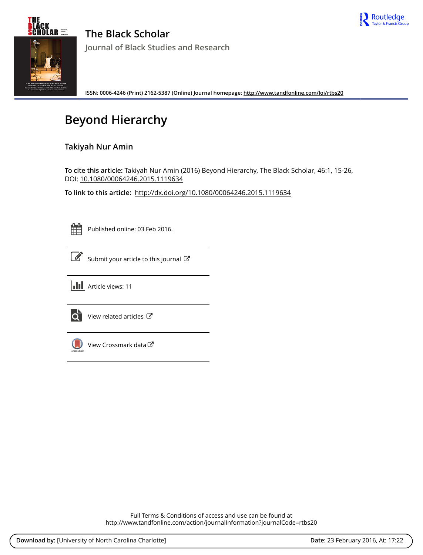



**The Black Scholar Journal of Black Studies and Research**

**ISSN: 0006-4246 (Print) 2162-5387 (Online) Journal homepage:<http://www.tandfonline.com/loi/rtbs20>**

# **Beyond Hierarchy**

## **Takiyah Nur Amin**

**To cite this article:** Takiyah Nur Amin (2016) Beyond Hierarchy, The Black Scholar, 46:1, 15-26, DOI: [10.1080/00064246.2015.1119634](http://www.tandfonline.com/action/showCitFormats?doi=10.1080/00064246.2015.1119634)

**To link to this article:** <http://dx.doi.org/10.1080/00064246.2015.1119634>

Published online: 03 Feb 2016.



 $\overrightarrow{S}$  [Submit your article to this journal](http://www.tandfonline.com/action/authorSubmission?journalCode=rtbs20&page=instructions)  $\overrightarrow{S}$ 



**Article views: 11** 



 $\overrightarrow{Q}$  [View related articles](http://www.tandfonline.com/doi/mlt/10.1080/00064246.2015.1119634)  $\overrightarrow{C}$ 



[View Crossmark data](http://crossmark.crossref.org/dialog/?doi=10.1080/00064246.2015.1119634&domain=pdf&date_stamp=2016-02-03) $G$ 

Full Terms & Conditions of access and use can be found at <http://www.tandfonline.com/action/journalInformation?journalCode=rtbs20>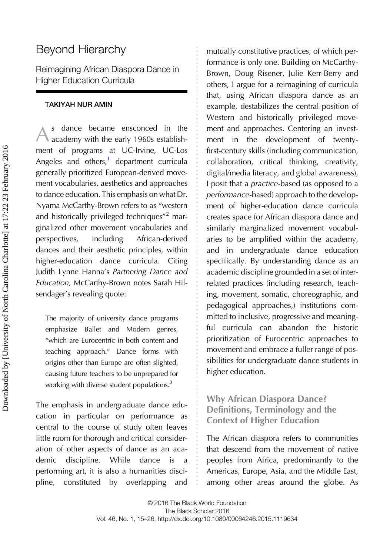# Beyond Hierarchy

Reimagining African Diaspora Dance in Higher Education Curricula

#### TAKIYAH NUR AMIN

A s dance became ensconced in the<br>A academy with the early 1960s establishment of programs at UC-Irvine, UC-Los Angeles and others, $1$  department curricula generally prioritized European-derived movement vocabularies, aesthetics and approaches to dance education. This emphasis on what Dr. Nyama McCarthy-Brown refers to as "western and historically privileged techniques"<sup>[2](#page-11-0)</sup> marginalized other movement vocabularies and perspectives, including African-derived dances and their aesthetic principles, within higher-education dance curricula. Citing Judith Lynne Hanna's Partnering Dance and Education, McCarthy-Brown notes Sarah Hilsendager's revealing quote:

The majority of university dance programs emphasize Ballet and Modern genres, "which are Eurocentric in both content and teaching approach." Dance forms with origins other than Europe are often slighted, causing future teachers to be unprepared for working with diverse student populations.<sup>[3](#page-11-0)</sup>

The emphasis in undergraduate dance education in particular on performance central to the course of study often leaves little room for thorough and critical consideration of other aspects of dance as an academic discipline. While dance is performing art, it is also a humanities discipline, constituted by overlapping and

mutually constitutive practices, of which performance is only one. Building on McCarthy-Brown, Doug Risener, Julie Kerr-Berry and others, I argue for a reimagining of curricula that, using African diaspora dance as an example, destabilizes the central position of Western and historically privileged movement and approaches. Centering an investment in the development of twentyfirst-century skills (including communication, collaboration, critical thinking, creativity, digital/media literacy, and global awareness), I posit that a practice-based (as opposed to a performance-based) approach to the development of higher-education dance curricula creates space for African diaspora dance and similarly marginalized movement vocabularies to be amplified within the academy, and in undergraduate dance education specifically. By understanding dance as an academic discipline grounded in a set of interrelated practices (including research, teaching, movement, somatic, choreographic, and pedagogical approaches,) institutions committed to inclusive, progressive and meaningcurricula can abandon the historic prioritization of Eurocentric approaches to movement and embrace a fuller range of possibilities for undergraduate dance students in higher education.

#### Why African Diaspora Dance? Definitions, Terminology and the Context of Higher Education

The African diaspora refers to communities that descend from the movement of native peoples from Africa, predominantly to the Americas, Europe, Asia, and the Middle East, among other areas around the globe. As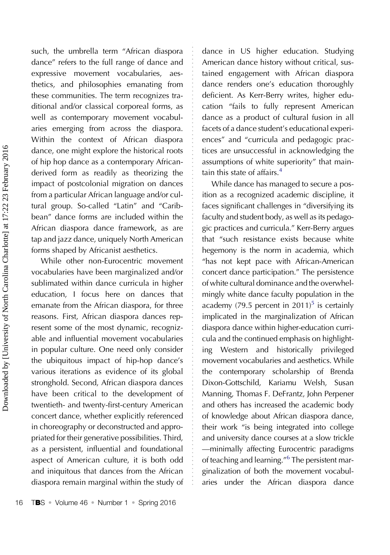Downloaded by [University of North Carolina Charlotte] at 17:22 23 February 2016 Downloaded by [University of North Carolina Charlotte] at 17:22 23 February 2016 such, the umbrella term "African diaspora dance" refers to the full range of dance and expressive movement vocabularies, aesthetics, and philosophies emanating from these communities. The term recognizes traditional and/or classical corporeal forms, as well as contemporary movement vocabularies emerging from across the diaspora. Within the context of African diaspora dance, one might explore the historical roots of hip hop dance as a contemporary Africanderived form as readily as theorizing the impact of postcolonial migration on dances from a particular African language and/or cultural group. So-called "Latin" and "Caribbean" dance forms are included within the African diaspora dance framework, as are tap and jazz dance, uniquely North American forms shaped by Africanist aesthetics.

While other non-Eurocentric movement vocabularies have been marginalized and/or sublimated within dance curricula in higher education, I focus here on dances that emanate from the African diaspora, for three reasons. First, African diaspora dances represent some of the most dynamic, recognizable and influential movement vocabularies in popular culture. One need only consider the ubiquitous impact of hip-hop dance's various iterations as evidence of its global stronghold. Second, African diaspora dances have been critical to the development of twentieth- and twenty-first-century American concert dance, whether explicitly referenced in choreography or deconstructed and appropriated for their generative possibilities. Third, as a persistent, influential and foundational aspect of American culture, it is both odd and iniquitous that dances from the African diaspora remain marginal within the study of

16 TBS • Volume 46 • Number 1 • Spring 2016

dance in US higher education. Studying American dance history without critical, sustained engagement with African diaspora dance renders one's education thoroughly deficient. As Kerr-Berry writes, higher education "fails to fully represent American dance as a product of cultural fusion in all facets of a dance student's educational experiences" and "curricula and pedagogic practices are unsuccessful in acknowledging the assumptions of white superiority" that maintain this state of affairs.<sup>4</sup>

While dance has managed to secure a position as a recognized academic discipline, it faces significant challenges in "diversifying its faculty and student body, as well as its pedagogic practices and curricula." Kerr-Berry argues that "such resistance exists because white hegemony is the norm in academia, which "has not kept pace with African-American concert dance participation." The persistence of white cultural dominance and the overwhelmingly white dance faculty population in the academy (79.[5](#page-12-0) percent in 2011)<sup>5</sup> is certainly implicated in the marginalization of African diaspora dance within higher-education curricula and the continued emphasis on highlighting Western and historically privileged movement vocabularies and aesthetics. While the contemporary scholarship of Brenda Dixon-Gottschild, Kariamu Welsh, Susan Manning, Thomas F. DeFrantz, John Perpener and others has increased the academic body of knowledge about African diaspora dance, their work "is being integrated into college and university dance courses at a slow trickle —minimally affecting Eurocentric paradigms of teaching and learning." [6](#page-12-0) The persistent marginalization of both the movement vocabularies under the African diaspora dance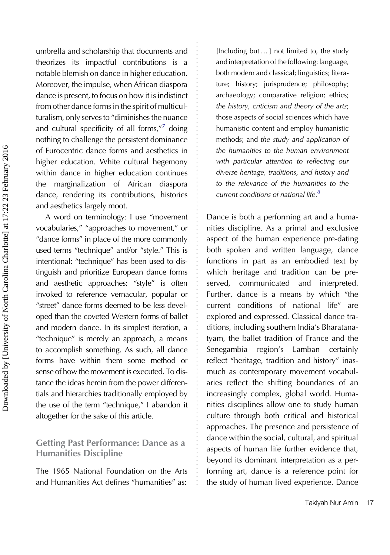umbrella and scholarship that documents and theorizes its impactful contributions is a notable blemish on dance in higher education. Moreover, the impulse, when African diaspora dance is present, to focus on how it is indistinct from other dance forms in the spirit of multiculturalism, only serves to "diminishes the nuance and cultural specificity of all forms,"[7](#page-12-0) doing nothing to challenge the persistent dominance of Eurocentric dance forms and aesthetics in higher education. White cultural hegemony within dance in higher education continues the marginalization of African diaspora dance, rendering its contributions, histories and aesthetics largely moot.

A word on terminology: I use "movement vocabularies," "approaches to movement," or "dance forms" in place of the more commonly used terms "technique" and/or "style." This is intentional: "technique" has been used to distinguish and prioritize European dance forms and aesthetic approaches; "style" is often invoked to reference vernacular, popular or "street" dance forms deemed to be less developed than the coveted Western forms of ballet and modern dance. In its simplest iteration, a "technique" is merely an approach, a means to accomplish something. As such, all dance forms have within them some method or sense of how the movement is executed. To distance the ideas herein from the power differentials and hierarchies traditionally employed by the use of the term "technique," I abandon it altogether for the sake of this article.

## Getting Past Performance: Dance as a Humanities Discipline

The 1965 National Foundation on the Arts and Humanities Act defines "humanities" as:

[Including but … ] not limited to, the study and interpretation of the following: language, both modern and classical; linguistics; literature; history; jurisprudence; philosophy; archaeology; comparative religion; ethics; the history, criticism and theory of the arts; those aspects of social sciences which have humanistic content and employ humanistic methods; and the study and application of the humanities to the human environment with particular attention to reflecting our diverse heritage, traditions, and history and to the relevance of the humanities to the current conditions of national life.<sup>[8](#page-12-0)</sup>

Dance is both a performing art and a humanities discipline. As a primal and exclusive aspect of the human experience pre-dating both spoken and written language, dance functions in part as an embodied text by which heritage and tradition can be preserved, communicated and interpreted. Further, dance is a means by which "the current conditions of national life" are explored and expressed. Classical dance traditions, including southern India's Bharatanatyam, the ballet tradition of France and the Senegambia region's Lamban certainly reflect "heritage, tradition and history" inasmuch as contemporary movement vocabularies reflect the shifting boundaries of an increasingly complex, global world. Humanities disciplines allow one to study human culture through both critical and historical approaches. The presence and persistence of dance within the social, cultural, and spiritual aspects of human life further evidence that, beyond its dominant interpretation as a performing art, dance is a reference point for the study of human lived experience. Dance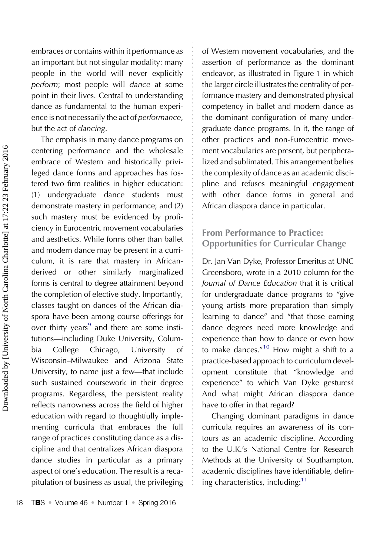embraces or contains within it performance as an important but not singular modality: many people in the world will never explicitly perform; most people will dance at some point in their lives. Central to understanding dance as fundamental to the human experience is not necessarily the act of performance, but the act of *dancing*.

The emphasis in many dance programs on centering performance and the wholesale embrace of Western and historically privileged dance forms and approaches has fostered two firm realities in higher education: (1) undergraduate dance students must demonstrate mastery in performance; and (2) such mastery must be evidenced by proficiency in Eurocentric movement vocabularies and aesthetics. While forms other than ballet and modern dance may be present in a curriculum, it is rare that mastery in Africanderived or other similarly marginalized forms is central to degree attainment beyond the completion of elective study. Importantly, classes taught on dances of the African diaspora have been among course offerings for over thirty years<sup>[9](#page-12-0)</sup> and there are some institutions—including Duke University, Columbia College Chicago, University of Wisconsin–Milwaukee and Arizona State University, to name just a few—that include such sustained coursework in their degree programs. Regardless, the persistent reality reflects narrowness across the field of higher education with regard to thoughtfully implementing curricula that embraces the full range of practices constituting dance as a discipline and that centralizes African diaspora dance studies in particular as a primary aspect of one's education. The result is a recapitulation of business as usual, the privileging

18 TBS • Volume 46 • Number 1 • Spring 2016

of Western movement vocabularies, and the assertion of performance as the dominant endeavor, as illustrated in Figure 1 in which the larger circle illustrates the centrality of performance mastery and demonstrated physical competency in ballet and modern dance as the dominant configuration of many undergraduate dance programs. In it, the range of other practices and non-Eurocentric movement vocabularies are present, but peripheralized and sublimated. This arrangement belies the complexity of dance as an academic discipline and refuses meaningful engagement with other dance forms in general and African diaspora dance in particular.

## From Performance to Practice: Opportunities for Curricular Change

Dr. Jan Van Dyke, Professor Emeritus at UNC Greensboro, wrote in a 2010 column for the Journal of Dance Education that it is critical for undergraduate dance programs to "give young artists more preparation than simply learning to dance" and "that those earning dance degrees need more knowledge and experience than how to dance or even how to make dances."<sup>[10](#page-12-0)</sup> How might a shift to a practice-based approach to curriculum development constitute that "knowledge and experience" to which Van Dyke gestures? And what might African diaspora dance have to offer in that regard?

Changing dominant paradigms in dance curricula requires an awareness of its contours as an academic discipline. According to the U.K.'s National Centre for Research Methods at the University of Southampton, academic disciplines have identifiable, defining characteristics, including:[11](#page-12-0)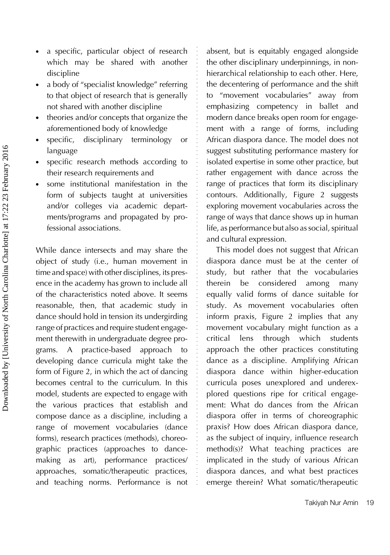- . a specific, particular object of research which may be shared with another discipline
- . a body of "specialist knowledge" referring to that object of research that is generally not shared with another discipline
- . theories and/or concepts that organize the aforementioned body of knowledge
- . specific, disciplinary terminology or language
- . specific research methods according to their research requirements and
- . some institutional manifestation in the form of subjects taught at universities and/or colleges via academic departments/programs and propagated by professional associations.

While dance intersects and may share the object of study (i.e., human movement in time and space) with other disciplines, its presence in the academy has grown to include all of the characteristics noted above. It seems reasonable, then, that academic study in dance should hold in tension its undergirding range of practices and require student engagement therewith in undergraduate degree programs. A practice-based approach developing dance curricula might take the form of Figure 2, in which the act of dancing becomes central to the curriculum. In this model, students are expected to engage with the various practices that establish and compose dance as a discipline, including a range of movement vocabularies (dance forms), research practices (methods), choreographic practices (approaches to dancemaking as art), performance practices/ approaches, somatic/therapeutic practices, and teaching norms. Performance is not

absent, but is equitably engaged alongside the other disciplinary underpinnings, in nonhierarchical relationship to each other. Here, the decentering of performance and the shift to "movement vocabularies" away from emphasizing competency in ballet and modern dance breaks open room for engagement with a range of forms, including African diaspora dance. The model does not suggest substituting performance mastery for isolated expertise in some other practice, but rather engagement with dance across the range of practices that form its disciplinary contours. Additionally, Figure 2 suggests exploring movement vocabularies across the range of ways that dance shows up in human life, as performance but also as social, spiritual and cultural expression.

This model does not suggest that African diaspora dance must be at the center of study, but rather that the vocabularies therein be considered among many equally valid forms of dance suitable for study. As movement vocabularies often inform praxis, Figure 2 implies that any movement vocabulary might function as a critical lens through which students approach the other practices constituting dance as a discipline. Amplifying African diaspora dance within higher-education curricula poses unexplored and underexplored questions ripe for critical engagement: What do dances from the African diaspora offer in terms of choreographic praxis? How does African diaspora dance, as the subject of inquiry, influence research method(s)? What teaching practices are implicated in the study of various African diaspora dances, and what best practices emerge therein? What somatic/therapeutic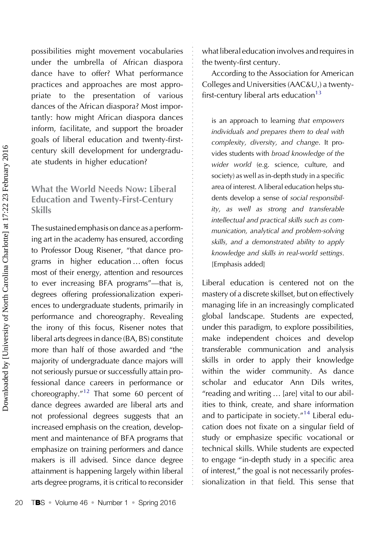possibilities might movement vocabularies under the umbrella of African diaspora dance have to offer? What performance practices and approaches are most appropriate to the presentation of various dances of the African diaspora? Most importantly: how might African diaspora dances inform, facilitate, and support the broader goals of liberal education and twenty-firstcentury skill development for undergraduate students in higher education?

### What the World Needs Now: Liberal Education and Twenty-First-Century Skills

The sustained emphasis on dance as a performing art in the academy has ensured, according to Professor Doug Risener, "that dance programs in higher education … often focus most of their energy, attention and resources to ever increasing BFA programs"—that is, degrees offering professionalization experiences to undergraduate students, primarily in performance and choreography. Revealing the irony of this focus, Risener notes that liberal arts degrees in dance (BA, BS) constitute more than half of those awarded and "the majority of undergraduate dance majors will not seriously pursue or successfully attain professional dance careers in performance or choreography."<sup>[12](#page-12-0)</sup> That some 60 percent of dance degrees awarded are liberal arts and not professional degrees suggests that an increased emphasis on the creation, development and maintenance of BFA programs that emphasize on training performers and dance makers is ill advised. Since dance degree attainment is happening largely within liberal arts degree programs, it is critical to reconsider

20 TBS • Volume 46 • Number 1 • Spring 2016

what liberal education involves and requires in the twenty-first century.

According to the Association for American Colleges and Universities (AAC&U,) a twentyfirst-century liberal arts education $13$ 

is an approach to learning that empowers individuals and prepares them to deal with complexity, diversity, and change. It provides students with broad knowledge of the wider world (e.g. science, culture, and society) as well as in-depth study in a specific area of interest. A liberal education helps students develop a sense of social responsibility, as well as strong and transferable intellectual and practical skills such as communication, analytical and problem-solving skills, and a demonstrated ability to apply knowledge and skills in real-world settings. [Emphasis added]

Liberal education is centered not on the mastery of a discrete skillset, but on effectively managing life in an increasingly complicated global landscape. Students are expected, under this paradigm, to explore possibilities, make independent choices and develop transferable communication and analysis skills in order to apply their knowledge within the wider community. As dance scholar and educator Ann Dils writes, "reading and writing … [are] vital to our abilities to think, create, and share information and to participate in society."<sup>[14](#page-12-0)</sup> Liberal education does not fixate on a singular field of study or emphasize specific vocational or technical skills. While students are expected to engage "in-depth study in a specific area of interest," the goal is not necessarily professionalization in that field. This sense that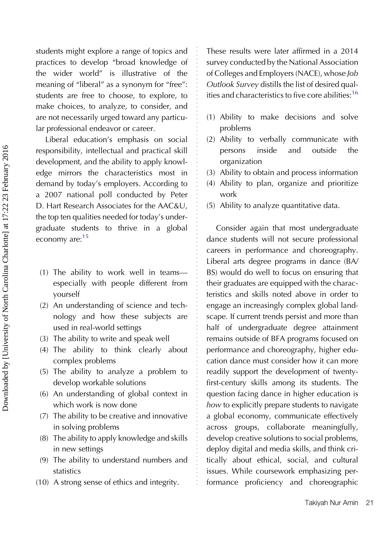students might explore a range of topics and practices to develop "broad knowledge of the wider world" is illustrative of the meaning of "liberal" as a synonym for "free": students are free to choose, to explore, to make choices, to analyze, to consider, and are not necessarily urged toward any particular professional endeavor or career.

Liberal education's emphasis on social responsibility, intellectual and practical skill development, and the ability to apply knowledge mirrors the characteristics most in demand by today's employers. According to a 2007 national poll conducted by Peter D. Hart Research Associates for the AAC&U, the top ten qualities needed for today's undergraduate students to thrive in a global economy are:<sup>[15](#page-12-0)</sup>

- (1) The ability to work well in teams especially with people different from yourself
- (2) An understanding of science and technology and how these subjects are used in real-world settings
- (3) The ability to write and speak well
- (4) The ability to think clearly about complex problems
- (5) The ability to analyze a problem to develop workable solutions
- (6) An understanding of global context in which work is now done
- (7) The ability to be creative and innovative in solving problems
- (8) The ability to apply knowledge and skills in new settings
- (9) The ability to understand numbers and statistics
- (10) A strong sense of ethics and integrity.

These results were later affirmed in a 2014 survey conducted by the National Association of Colleges and Employers (NACE), whose Job Outlook Survey distills the list of desired qual-ities and characteristics to five core abilities:<sup>[16](#page-12-0)</sup>

- (1) Ability to make decisions and solve problems
- (2) Ability to verbally communicate with persons inside and outside the organization
- (3) Ability to obtain and process information
- (4) Ability to plan, organize and prioritize work
- (5) Ability to analyze quantitative data.

Consider again that most undergraduate dance students will not secure professional careers in performance and choreography. Liberal arts degree programs in dance (BA/ BS) would do well to focus on ensuring that their graduates are equipped with the characteristics and skills noted above in order to engage an increasingly complex global landscape. If current trends persist and more than half of undergraduate degree attainment remains outside of BFA programs focused on performance and choreography, higher education dance must consider how it can more readily support the development of twentyfirst-century skills among its students. The question facing dance in higher education is how to explicitly prepare students to navigate a global economy, communicate effectively across groups, collaborate meaningfully, develop creative solutions to social problems, deploy digital and media skills, and think critically about ethical, social, and cultural issues. While coursework emphasizing performance proficiency and choreographic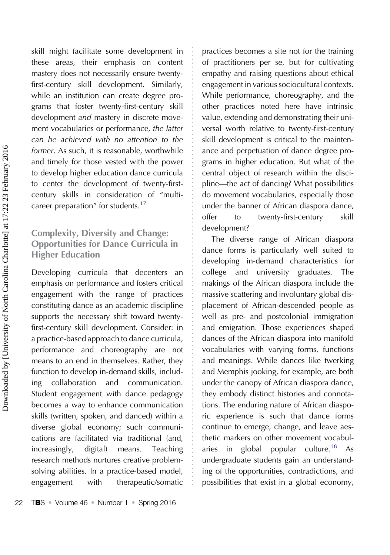skill might facilitate some development in these areas, their emphasis on content mastery does not necessarily ensure twentyfirst-century skill development. Similarly, while an institution can create degree programs that foster twenty-first-century skill development and mastery in discrete movement vocabularies or performance, the latter can be achieved with no attention to the former. As such, it is reasonable, worthwhile and timely for those vested with the power to develop higher education dance curricula to center the development of twenty-firstcentury skills in consideration of "multi-career preparation" for students.<sup>[17](#page-12-0)</sup>

#### Complexity, Diversity and Change: Opportunities for Dance Curricula in Higher Education

Developing curricula that decenters an emphasis on performance and fosters critical engagement with the range of practices constituting dance as an academic discipline supports the necessary shift toward twentyfirst-century skill development. Consider: in a practice-based approach to dance curricula, performance and choreography are not means to an end in themselves. Rather, they function to develop in-demand skills, including collaboration and communication. Student engagement with dance pedagogy becomes a way to enhance communication skills (written, spoken, and danced) within a diverse global economy; such communications are facilitated via traditional (and, increasingly, digital) means. Teaching research methods nurtures creative problemsolving abilities. In a practice-based model, engagement with therapeutic/somatic practices becomes a site not for the training of practitioners per se, but for cultivating empathy and raising questions about ethical engagement in various sociocultural contexts. While performance, choreography, and the other practices noted here have intrinsic value, extending and demonstrating their universal worth relative to twenty-first-century skill development is critical to the maintenance and perpetuation of dance degree programs in higher education. But what of the central object of research within the discipline—the act of dancing? What possibilities do movement vocabularies, especially those under the banner of African diaspora dance, offer to twenty-first-century skill development?

The diverse range of African diaspora dance forms is particularly well suited to developing in-demand characteristics for college and university graduates. The makings of the African diaspora include the massive scattering and involuntary global displacement of African-descended people as well as pre- and postcolonial immigration and emigration. Those experiences shaped dances of the African diaspora into manifold vocabularies with varying forms, functions and meanings. While dances like twerking and Memphis jooking, for example, are both under the canopy of African diaspora dance, they embody distinct histories and connotations. The enduring nature of African diasporic experience is such that dance forms continue to emerge, change, and leave aesthetic markers on other movement vocabul-aries in global popular culture.<sup>[18](#page-12-0)</sup> As undergraduate students gain an understanding of the opportunities, contradictions, and possibilities that exist in a global economy,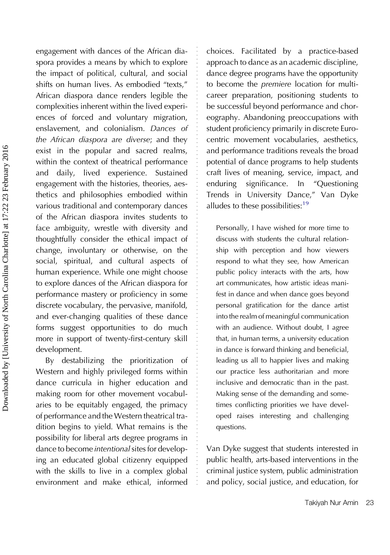engagement with dances of the African diaspora provides a means by which to explore the impact of political, cultural, and social shifts on human lives. As embodied "texts," African diaspora dance renders legible the complexities inherent within the lived experiences of forced and voluntary migration, enslavement, and colonialism. Dances of the African diaspora are diverse; and they exist in the popular and sacred realms, within the context of theatrical performance and daily, lived experience. Sustained engagement with the histories, theories, aesthetics and philosophies embodied within various traditional and contemporary dances of the African diaspora invites students to face ambiguity, wrestle with diversity and thoughtfully consider the ethical impact of change, involuntary or otherwise, on the social, spiritual, and cultural aspects of human experience. While one might choose to explore dances of the African diaspora for performance mastery or proficiency in some discrete vocabulary, the pervasive, manifold, and ever-changing qualities of these dance forms suggest opportunities to do much more in support of twenty-first-century skill development.

By destabilizing the prioritization of Western and highly privileged forms within dance curricula in higher education and making room for other movement vocabularies to be equitably engaged, the primacy of performance and the Western theatrical tradition begins to yield. What remains is the possibility for liberal arts degree programs in dance to become intentional sites for developing an educated global citizenry equipped with the skills to live in a complex global environment and make ethical, informed

choices. Facilitated by a practice-based approach to dance as an academic discipline, dance degree programs have the opportunity to become the *premiere* location for multicareer preparation, positioning students to be successful beyond performance and choreography. Abandoning preoccupations with student proficiency primarily in discrete Eurocentric movement vocabularies, aesthetics, and performance traditions reveals the broad potential of dance programs to help students craft lives of meaning, service, impact, and enduring significance. In "Questioning Trends in University Dance," Van Dyke alludes to these possibilities:<sup>[19](#page-12-0)</sup>

Personally, I have wished for more time to discuss with students the cultural relationship with perception and how viewers respond to what they see, how American public policy interacts with the arts, how art communicates, how artistic ideas manifest in dance and when dance goes beyond personal gratification for the dance artist into the realm of meaningful communication with an audience. Without doubt, I agree that, in human terms, a university education in dance is forward thinking and beneficial, leading us all to happier lives and making our practice less authoritarian and more inclusive and democratic than in the past. Making sense of the demanding and sometimes conflicting priorities we have developed raises interesting and challenging questions.

Van Dyke suggest that students interested in public health, arts-based interventions in the criminal justice system, public administration and policy, social justice, and education, for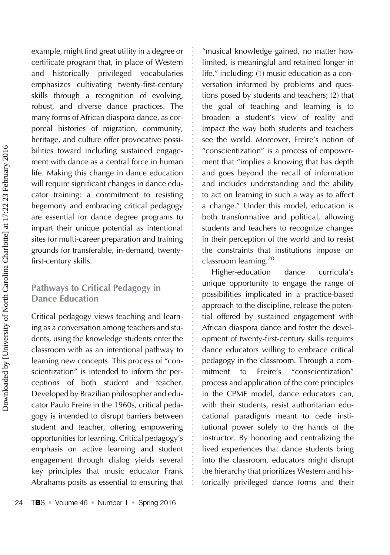example, might find great utility in a degree or certificate program that, in place of Western and historically privileged vocabularies emphasizes cultivating twenty-first-century skills through a recognition of evolving, robust, and diverse dance practices. The many forms of African diaspora dance, as corporeal histories of migration, community, heritage, and culture offer provocative possibilities toward including sustained engagement with dance as a central force in human life. Making this change in dance education will require significant changes in dance educator training: a commitment to resisting hegemony and embracing critical pedagogy are essential for dance degree programs to impart their unique potential as intentional sites for multi-career preparation and training grounds for transferable, in-demand, twentyfirst-century skills.

#### Pathways to Critical Pedagogy in Dance Education

Critical pedagogy views teaching and learning as a conversation among teachers and students, using the knowledge students enter the classroom with as an intentional pathway to learning new concepts. This process of "conscientization" is intended to inform the perceptions of both student and teacher. Developed by Brazilian philosopher and educator Paulo Freire in the 1960s, critical pedagogy is intended to disrupt barriers between student and teacher, offering empowering opportunities for learning. Critical pedagogy's emphasis on active learning and student engagement through dialog yields several key principles that music educator Frank Abrahams posits as essential to ensuring that

24 TBS • Volume 46 • Number 1 • Spring 2016

"musical knowledge gained, no matter how limited, is meaningful and retained longer in life," including: (1) music education as a conversation informed by problems and questions posed by students and teachers; (2) that the goal of teaching and learning is to broaden a student's view of reality and impact the way both students and teachers see the world. Moreover, Freire's notion of "conscientization" is a process of empowerment that "implies a knowing that has depth and goes beyond the recall of information and includes understanding and the ability to act on learning in such a way as to affect a change." Under this model, education is both transformative and political, allowing students and teachers to recognize changes in their perception of the world and to resist the constraints that institutions impose on classroom learning.[20](#page-12-0)

Higher-education dance curricula's unique opportunity to engage the range of possibilities implicated in a practice-based approach to the discipline, release the potential offered by sustained engagement with African diaspora dance and foster the development of twenty-first-century skills requires dance educators willing to embrace critical pedagogy in the classroom. Through a commitment to Freire's "conscientization" process and application of the core principles in the CPME model, dance educators can, with their students, resist authoritarian educational paradigms meant to cede institutional power solely to the hands of the instructor. By honoring and centralizing the lived experiences that dance students bring into the classroom, educators might disrupt the hierarchy that prioritizes Western and historically privileged dance forms and their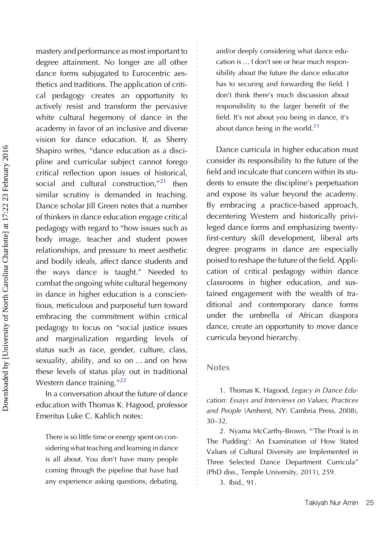<span id="page-11-0"></span>mastery and performance as most important to degree attainment. No longer are all other dance forms subjugated to Eurocentric aesthetics and traditions. The application of critical pedagogy creates an opportunity to actively resist and transform the pervasive white cultural hegemony of dance in the academy in favor of an inclusive and diverse vision for dance education. If, as Sherry Shapiro writes, "dance education as a discipline and curricular subject cannot forego critical reflection upon issues of historical, social and cultural construction,"<sup>[21](#page-12-0)</sup> then similar scrutiny is demanded in teaching. Dance scholar Jill Green notes that a number of thinkers in dance education engage critical pedagogy with regard to "how issues such as body image, teacher and student power relationships, and pressure to meet aesthetic and bodily ideals, affect dance students and the ways dance is taught." Needed to combat the ongoing white cultural hegemony in dance in higher education is a conscientious, meticulous and purposeful turn toward embracing the commitment within critical pedagogy to focus on "social justice issues and marginalization regarding levels of status such as race, gender, culture, class, sexuality, ability, and so on … and on how these levels of status play out in traditional Western dance training."<sup>[22](#page-12-0)</sup>

In a conversation about the future of dance education with Thomas K. Hagood, professor Emeritus Luke C. Kahlich notes:

There is so little time or energy spent on considering what teaching and learning in dance is all about. You don't have many people coming through the pipeline that have had any experience asking questions, debating,

and/or deeply considering what dance education is … I don't see or hear much responsibility about the future the dance educator has to securing and forwarding the field. I don't think there's much discussion about responsibility to the larger benefit of the field. It's not about you being in dance, it's about dance being in the world.<sup>23</sup>

Dance curricula in higher education must consider its responsibility to the future of the field and inculcate that concern within its students to ensure the discipline's perpetuation and expose its value beyond the academy. By embracing a practice-based approach, decentering Western and historically privileged dance forms and emphasizing twentyfirst-century skill development, liberal arts degree programs in dance are especially poised to reshape the future of the field. Application of critical pedagogy within dance classrooms in higher education, and sustained engagement with the wealth of traditional and contemporary dance forms under the umbrella of African diaspora dance, create an opportunity to move dance curricula beyond hierarchy.

#### **Notes**

1. Thomas K. Hagood, Legacy in Dance Education: Essays and Interviews on Values, Practices and People (Amherst, NY: Cambria Press, 2008), 30–32.

2. Nyama McCarthy-Brown, "'The Proof is in The Pudding': An Examination of How Stated Values of Cultural Diversity are Implemented in Three Selected Dance Department Curricula" (PhD diss., Temple University, 2011), 259.

3. Ibid., 91.